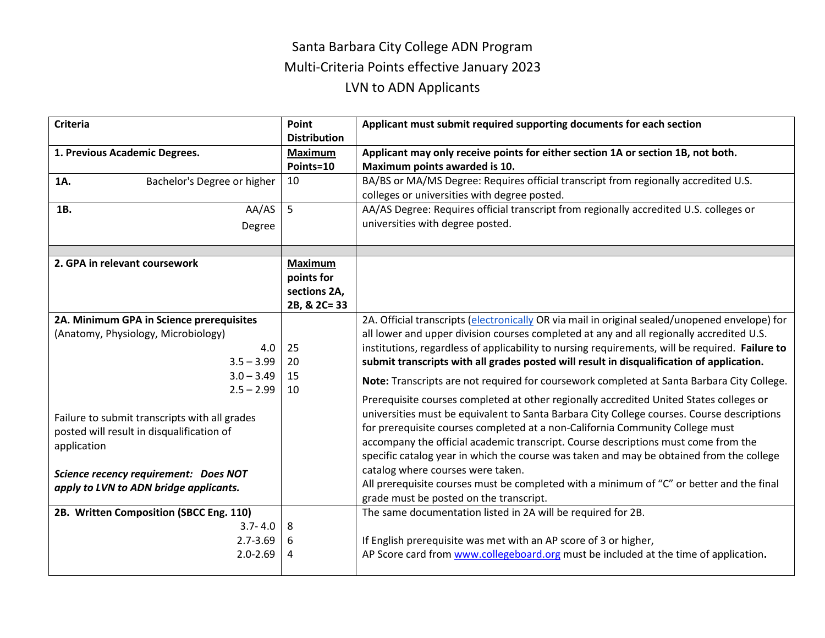## Santa Barbara City College ADN Program Multi-Criteria Points effective January 2023 LVN to ADN Applicants

| <b>Criteria</b>                                                                                                                                                                                                                                                                                                                        | Point<br><b>Distribution</b>                                 | Applicant must submit required supporting documents for each section                                                                                                                                                                                                                                                                                                                                                                                                                                                                                                                                                                                                                                                                                                                                                                                                                                                                                                                                                                                                                                                             |
|----------------------------------------------------------------------------------------------------------------------------------------------------------------------------------------------------------------------------------------------------------------------------------------------------------------------------------------|--------------------------------------------------------------|----------------------------------------------------------------------------------------------------------------------------------------------------------------------------------------------------------------------------------------------------------------------------------------------------------------------------------------------------------------------------------------------------------------------------------------------------------------------------------------------------------------------------------------------------------------------------------------------------------------------------------------------------------------------------------------------------------------------------------------------------------------------------------------------------------------------------------------------------------------------------------------------------------------------------------------------------------------------------------------------------------------------------------------------------------------------------------------------------------------------------------|
| 1. Previous Academic Degrees.                                                                                                                                                                                                                                                                                                          | <b>Maximum</b><br>Points=10                                  | Applicant may only receive points for either section 1A or section 1B, not both.<br>Maximum points awarded is 10.                                                                                                                                                                                                                                                                                                                                                                                                                                                                                                                                                                                                                                                                                                                                                                                                                                                                                                                                                                                                                |
| Bachelor's Degree or higher<br>1A.                                                                                                                                                                                                                                                                                                     | 10                                                           | BA/BS or MA/MS Degree: Requires official transcript from regionally accredited U.S.<br>colleges or universities with degree posted.                                                                                                                                                                                                                                                                                                                                                                                                                                                                                                                                                                                                                                                                                                                                                                                                                                                                                                                                                                                              |
| AA/AS<br>1B.<br>Degree                                                                                                                                                                                                                                                                                                                 | 5                                                            | AA/AS Degree: Requires official transcript from regionally accredited U.S. colleges or<br>universities with degree posted.                                                                                                                                                                                                                                                                                                                                                                                                                                                                                                                                                                                                                                                                                                                                                                                                                                                                                                                                                                                                       |
| 2. GPA in relevant coursework                                                                                                                                                                                                                                                                                                          | <b>Maximum</b><br>points for<br>sections 2A,<br>2B, & 2C= 33 |                                                                                                                                                                                                                                                                                                                                                                                                                                                                                                                                                                                                                                                                                                                                                                                                                                                                                                                                                                                                                                                                                                                                  |
| 2A. Minimum GPA in Science prerequisites<br>(Anatomy, Physiology, Microbiology)<br>4.0<br>$3.5 - 3.99$<br>$3.0 - 3.49$<br>$2.5 - 2.99$<br>Failure to submit transcripts with all grades<br>posted will result in disqualification of<br>application<br>Science recency requirement: Does NOT<br>apply to LVN to ADN bridge applicants. | 25<br>20<br>15<br>10                                         | 2A. Official transcripts (electronically OR via mail in original sealed/unopened envelope) for<br>all lower and upper division courses completed at any and all regionally accredited U.S.<br>institutions, regardless of applicability to nursing requirements, will be required. Failure to<br>submit transcripts with all grades posted will result in disqualification of application.<br>Note: Transcripts are not required for coursework completed at Santa Barbara City College.<br>Prerequisite courses completed at other regionally accredited United States colleges or<br>universities must be equivalent to Santa Barbara City College courses. Course descriptions<br>for prerequisite courses completed at a non-California Community College must<br>accompany the official academic transcript. Course descriptions must come from the<br>specific catalog year in which the course was taken and may be obtained from the college<br>catalog where courses were taken.<br>All prerequisite courses must be completed with a minimum of "C" or better and the final<br>grade must be posted on the transcript. |
| 2B. Written Composition (SBCC Eng. 110)<br>$3.7 - 4.0$<br>$2.7 - 3.69$<br>$2.0 - 2.69$                                                                                                                                                                                                                                                 | 8<br>6<br>4                                                  | The same documentation listed in 2A will be required for 2B.<br>If English prerequisite was met with an AP score of 3 or higher,<br>AP Score card from www.collegeboard.org must be included at the time of application.                                                                                                                                                                                                                                                                                                                                                                                                                                                                                                                                                                                                                                                                                                                                                                                                                                                                                                         |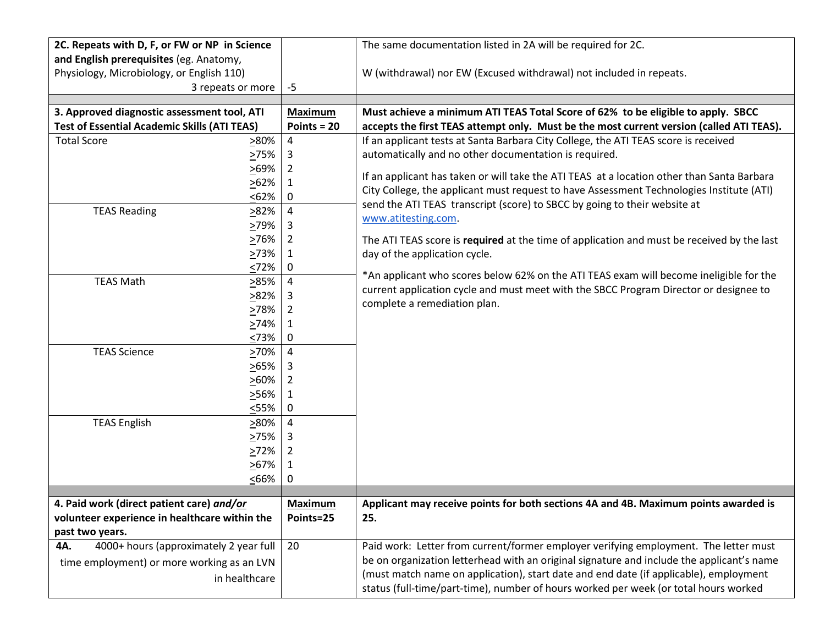| 2C. Repeats with D, F, or FW or NP in Science                    |                | The same documentation listed in 2A will be required for 2C.                               |
|------------------------------------------------------------------|----------------|--------------------------------------------------------------------------------------------|
| and English prerequisites (eg. Anatomy,                          |                |                                                                                            |
| Physiology, Microbiology, or English 110)                        |                | W (withdrawal) nor EW (Excused withdrawal) not included in repeats.                        |
| 3 repeats or more                                                | -5             |                                                                                            |
| 3. Approved diagnostic assessment tool, ATI                      | <b>Maximum</b> | Must achieve a minimum ATI TEAS Total Score of 62% to be eligible to apply. SBCC           |
| <b>Test of Essential Academic Skills (ATI TEAS)</b>              | Points = $20$  | accepts the first TEAS attempt only. Must be the most current version (called ATI TEAS).   |
| <b>Total Score</b><br>>80%                                       | $\pmb{4}$      | If an applicant tests at Santa Barbara City College, the ATI TEAS score is received        |
| >75%                                                             | 3              | automatically and no other documentation is required.                                      |
| >69%                                                             | 2              | If an applicant has taken or will take the ATI TEAS at a location other than Santa Barbara |
| >62%                                                             | 1              | City College, the applicant must request to have Assessment Technologies Institute (ATI)   |
| < 62%                                                            | 0              | send the ATI TEAS transcript (score) to SBCC by going to their website at                  |
| <b>TEAS Reading</b><br>282%                                      | 4              | www.atitesting.com                                                                         |
| >79%                                                             | 3              |                                                                                            |
| 276%                                                             | 2              | The ATI TEAS score is required at the time of application and must be received by the last |
| >73%                                                             | 1              | day of the application cycle.                                                              |
| 52%                                                              | 0              |                                                                                            |
| <b>TEAS Math</b><br>>85%                                         | 4              | *An applicant who scores below 62% on the ATI TEAS exam will become ineligible for the     |
| 282%                                                             | 3              | current application cycle and must meet with the SBCC Program Director or designee to      |
| >78%                                                             | 2              | complete a remediation plan.                                                               |
| 274%                                                             | 1              |                                                                                            |
| <73%                                                             | 0              |                                                                                            |
| <b>TEAS Science</b><br>270%                                      | 4              |                                                                                            |
| 265%                                                             | 3              |                                                                                            |
| $>60\%$                                                          | 2              |                                                                                            |
| >56%                                                             | 1              |                                                                                            |
| $55\%$                                                           | 0              |                                                                                            |
| <b>TEAS English</b><br>>80%                                      | 4              |                                                                                            |
| 275%                                                             | 3              |                                                                                            |
| 272%                                                             | 2              |                                                                                            |
| 267%                                                             | 1              |                                                                                            |
| <66%                                                             | 0              |                                                                                            |
|                                                                  |                |                                                                                            |
| 4. Paid work (direct patient care) and/or                        | <b>Maximum</b> | Applicant may receive points for both sections 4A and 4B. Maximum points awarded is        |
| volunteer experience in healthcare within the<br>past two years. | Points=25      | 25.                                                                                        |
| 4000+ hours (approximately 2 year full<br>4A.                    | 20             | Paid work: Letter from current/former employer verifying employment. The letter must       |
|                                                                  |                | be on organization letterhead with an original signature and include the applicant's name  |
| time employment) or more working as an LVN                       |                | (must match name on application), start date and end date (if applicable), employment      |
| in healthcare                                                    |                | status (full-time/part-time), number of hours worked per week (or total hours worked       |
|                                                                  |                |                                                                                            |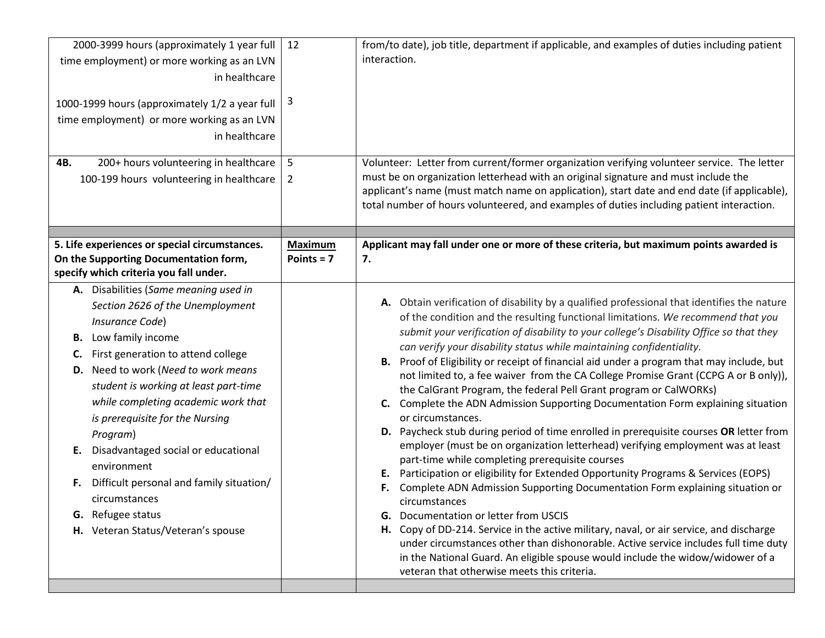| 2000-3999 hours (approximately 1 year full<br>time employment) or more working as an LVN<br>in healthcare<br>1000-1999 hours (approximately 1/2 a year full<br>time employment) or more working as an LVN<br>in healthcare<br>200+ hours volunteering in healthcare<br>4B.<br>100-199 hours volunteering in healthcare                                                                                                                                                                                                                     | 12<br>3<br>5<br>$\overline{2}$ | from/to date), job title, department if applicable, and examples of duties including patient<br>interaction.<br>Volunteer: Letter from current/former organization verifying volunteer service. The letter<br>must be on organization letterhead with an original signature and must include the<br>applicant's name (must match name on application), start date and end date (if applicable),<br>total number of hours volunteered, and examples of duties including patient interaction.                                                                                                                                                                                                                                                                                                                                                                                                                                                                                                                                                                                                                                                                                                                                                                                                                                                                                                    |
|--------------------------------------------------------------------------------------------------------------------------------------------------------------------------------------------------------------------------------------------------------------------------------------------------------------------------------------------------------------------------------------------------------------------------------------------------------------------------------------------------------------------------------------------|--------------------------------|------------------------------------------------------------------------------------------------------------------------------------------------------------------------------------------------------------------------------------------------------------------------------------------------------------------------------------------------------------------------------------------------------------------------------------------------------------------------------------------------------------------------------------------------------------------------------------------------------------------------------------------------------------------------------------------------------------------------------------------------------------------------------------------------------------------------------------------------------------------------------------------------------------------------------------------------------------------------------------------------------------------------------------------------------------------------------------------------------------------------------------------------------------------------------------------------------------------------------------------------------------------------------------------------------------------------------------------------------------------------------------------------|
|                                                                                                                                                                                                                                                                                                                                                                                                                                                                                                                                            |                                |                                                                                                                                                                                                                                                                                                                                                                                                                                                                                                                                                                                                                                                                                                                                                                                                                                                                                                                                                                                                                                                                                                                                                                                                                                                                                                                                                                                                |
| 5. Life experiences or special circumstances.<br>On the Supporting Documentation form,<br>specify which criteria you fall under.                                                                                                                                                                                                                                                                                                                                                                                                           | <b>Maximum</b><br>Points = $7$ | Applicant may fall under one or more of these criteria, but maximum points awarded is<br>7.                                                                                                                                                                                                                                                                                                                                                                                                                                                                                                                                                                                                                                                                                                                                                                                                                                                                                                                                                                                                                                                                                                                                                                                                                                                                                                    |
| A. Disabilities (Same meaning used in<br>Section 2626 of the Unemployment<br>Insurance Code)<br>Low family income<br>В.<br>First generation to attend college<br>C.<br>D. Need to work (Need to work means<br>student is working at least part-time<br>while completing academic work that<br>is prerequisite for the Nursing<br>Program)<br>Disadvantaged social or educational<br>Е.<br>environment<br>Difficult personal and family situation/<br>F.<br>circumstances<br><b>G.</b> Refugee status<br>H. Veteran Status/Veteran's spouse |                                | A. Obtain verification of disability by a qualified professional that identifies the nature<br>of the condition and the resulting functional limitations. We recommend that you<br>submit your verification of disability to your college's Disability Office so that they<br>can verify your disability status while maintaining confidentiality.<br>B. Proof of Eligibility or receipt of financial aid under a program that may include, but<br>not limited to, a fee waiver from the CA College Promise Grant (CCPG A or B only)),<br>the CalGrant Program, the federal Pell Grant program or CalWORKs)<br>C. Complete the ADN Admission Supporting Documentation Form explaining situation<br>or circumstances.<br>D. Paycheck stub during period of time enrolled in prerequisite courses OR letter from<br>employer (must be on organization letterhead) verifying employment was at least<br>part-time while completing prerequisite courses<br>Participation or eligibility for Extended Opportunity Programs & Services (EOPS)<br>Е.<br>Complete ADN Admission Supporting Documentation Form explaining situation or<br>F.<br><b>circumstances</b><br><b>G.</b> Documentation or letter from USCIS<br>H. Copy of DD-214. Service in the active military, naval, or air service, and discharge<br>under circumstances other than dishonorable. Active service includes full time duty |
|                                                                                                                                                                                                                                                                                                                                                                                                                                                                                                                                            |                                | in the National Guard. An eligible spouse would include the widow/widower of a<br>veteran that otherwise meets this criteria.                                                                                                                                                                                                                                                                                                                                                                                                                                                                                                                                                                                                                                                                                                                                                                                                                                                                                                                                                                                                                                                                                                                                                                                                                                                                  |